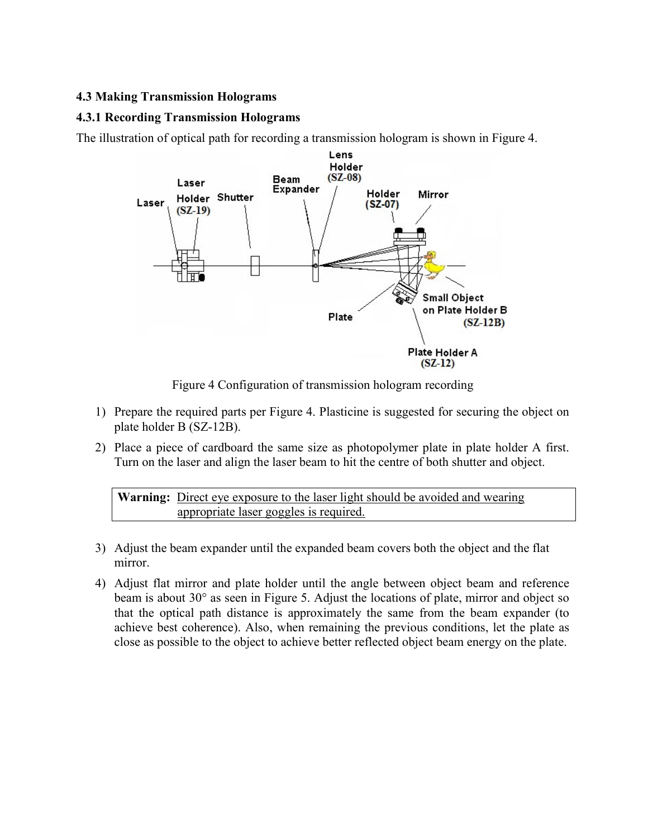## 4.3 Making Transmission Holograms

## 4.3.1 Recording Transmission Holograms

The illustration of optical path for recording a transmission hologram is shown in Figure 4.



Figure 4 Configuration of transmission hologram recording

- 1) Prepare the required parts per Figure 4. Plasticine is suggested for securing the object on plate holder B (SZ-12B).
- 2) Place a piece of cardboard the same size as photopolymer plate in plate holder A first. Turn on the laser and align the laser beam to hit the centre of both shutter and object.

Warning: Direct eye exposure to the laser light should be avoided and wearing appropriate laser goggles is required.

- 3) Adjust the beam expander until the expanded beam covers both the object and the flat mirror.
- 4) Adjust flat mirror and plate holder until the angle between object beam and reference beam is about 30° as seen in Figure 5. Adjust the locations of plate, mirror and object so that the optical path distance is approximately the same from the beam expander (to achieve best coherence). Also, when remaining the previous conditions, let the plate as close as possible to the object to achieve better reflected object beam energy on the plate.